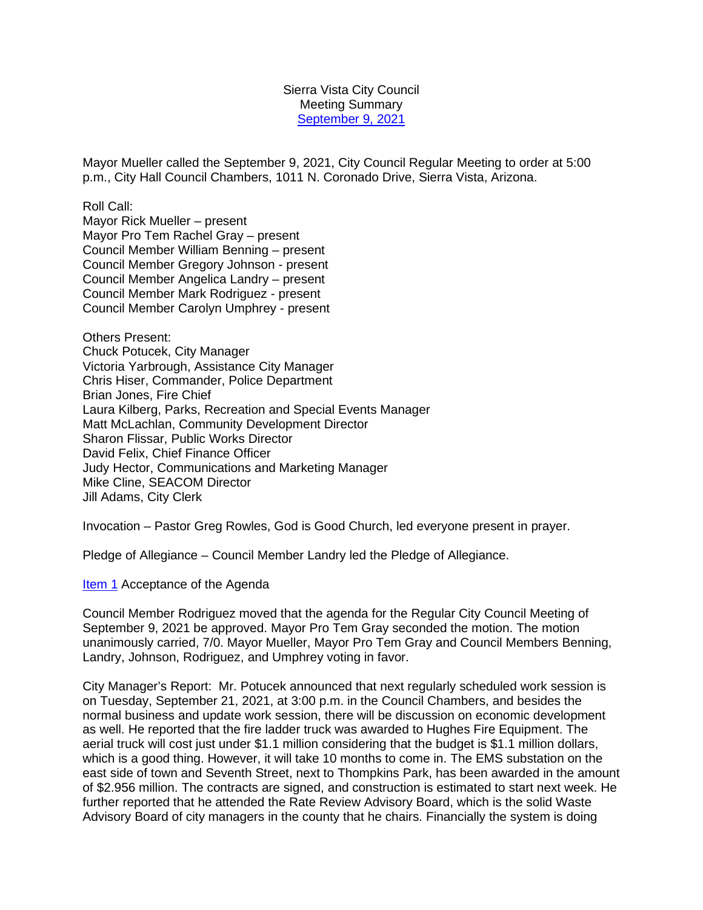Sierra Vista City Council Meeting Summary [September 9, 2021](http://docserve.sierravistaaz.gov/Home/City%20Council/City%20Council%20Meeting%20Agenda/2021%20Council%20Meeting/09%2009%2021/Item%201%20Agenda%20Regular%20Meeting%20090921.pdf)

Mayor Mueller called the September 9, 2021, City Council Regular Meeting to order at 5:00 p.m., City Hall Council Chambers, 1011 N. Coronado Drive, Sierra Vista, Arizona.

Roll Call:

Mayor Rick Mueller – present Mayor Pro Tem Rachel Gray – present Council Member William Benning – present Council Member Gregory Johnson - present Council Member Angelica Landry – present Council Member Mark Rodriguez - present Council Member Carolyn Umphrey - present

Others Present: Chuck Potucek, City Manager Victoria Yarbrough, Assistance City Manager Chris Hiser, Commander, Police Department Brian Jones, Fire Chief Laura Kilberg, Parks, Recreation and Special Events Manager Matt McLachlan, Community Development Director Sharon Flissar, Public Works Director David Felix, Chief Finance Officer Judy Hector, Communications and Marketing Manager Mike Cline, SEACOM Director Jill Adams, City Clerk

Invocation – Pastor Greg Rowles, God is Good Church, led everyone present in prayer.

Pledge of Allegiance – Council Member Landry led the Pledge of Allegiance.

[Item 1](http://docserve.sierravistaaz.gov/Home/City%20Council/City%20Council%20Meeting%20Agenda/2021%20Council%20Meeting/09%2009%2021/Item%201%20Agenda%20Regular%20Meeting%20090921.pdf) Acceptance of the Agenda

Council Member Rodriguez moved that the agenda for the Regular City Council Meeting of September 9, 2021 be approved. Mayor Pro Tem Gray seconded the motion. The motion unanimously carried, 7/0. Mayor Mueller, Mayor Pro Tem Gray and Council Members Benning, Landry, Johnson, Rodriguez, and Umphrey voting in favor.

City Manager's Report: Mr. Potucek announced that next regularly scheduled work session is on Tuesday, September 21, 2021, at 3:00 p.m. in the Council Chambers, and besides the normal business and update work session, there will be discussion on economic development as well. He reported that the fire ladder truck was awarded to Hughes Fire Equipment. The aerial truck will cost just under \$1.1 million considering that the budget is \$1.1 million dollars, which is a good thing. However, it will take 10 months to come in. The EMS substation on the east side of town and Seventh Street, next to Thompkins Park, has been awarded in the amount of \$2.956 million. The contracts are signed, and construction is estimated to start next week. He further reported that he attended the Rate Review Advisory Board, which is the solid Waste Advisory Board of city managers in the county that he chairs. Financially the system is doing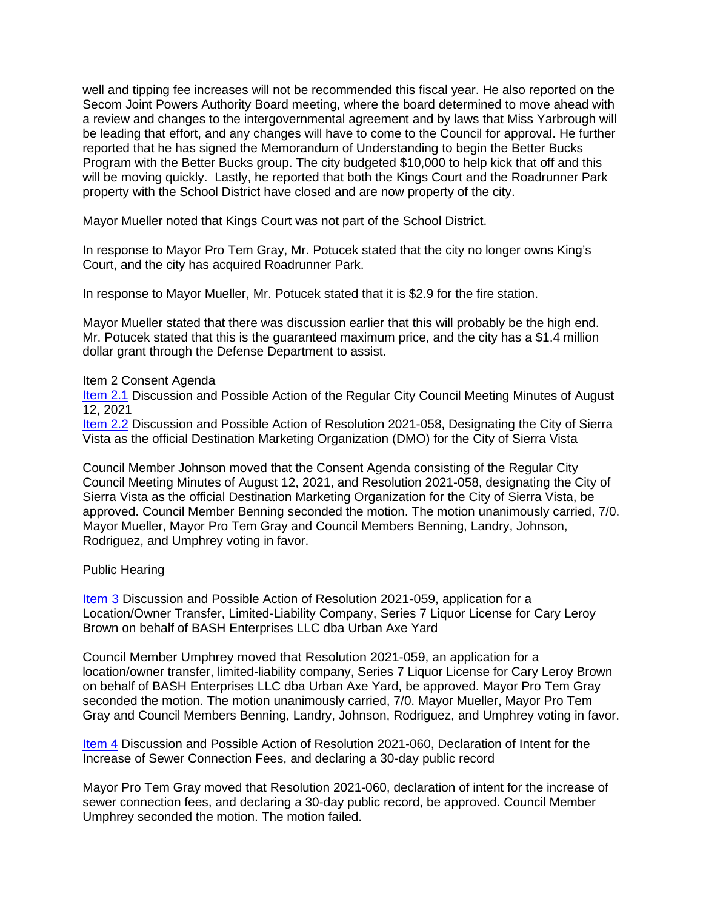well and tipping fee increases will not be recommended this fiscal year. He also reported on the Secom Joint Powers Authority Board meeting, where the board determined to move ahead with a review and changes to the intergovernmental agreement and by laws that Miss Yarbrough will be leading that effort, and any changes will have to come to the Council for approval. He further reported that he has signed the Memorandum of Understanding to begin the Better Bucks Program with the Better Bucks group. The city budgeted \$10,000 to help kick that off and this will be moving quickly. Lastly, he reported that both the Kings Court and the Roadrunner Park property with the School District have closed and are now property of the city.

Mayor Mueller noted that Kings Court was not part of the School District.

In response to Mayor Pro Tem Gray, Mr. Potucek stated that the city no longer owns King's Court, and the city has acquired Roadrunner Park.

In response to Mayor Mueller, Mr. Potucek stated that it is \$2.9 for the fire station.

Mayor Mueller stated that there was discussion earlier that this will probably be the high end. Mr. Potucek stated that this is the guaranteed maximum price, and the city has a \$1.4 million dollar grant through the Defense Department to assist.

## Item 2 Consent Agenda

[Item 2.1](http://docserve.sierravistaaz.gov/Home/City%20Council/City%20Council%20Meeting%20Agenda/2021%20Council%20Meeting/09%2009%2021/Item%202.1%20Regular%20Meeting%20Minutes%20081221.pdf) Discussion and Possible Action of the Regular City Council Meeting Minutes of August 12, 2021

[Item 2.2](http://docserve.sierravistaaz.gov/Home/City%20Council/City%20Council%20Meeting%20Agenda/2021%20Council%20Meeting/09%2009%2021/Item%202.2%20Res.%202021-058%20Affirming%20SV%20as%20DMO-REV.pdf) Discussion and Possible Action of Resolution 2021-058, Designating the City of Sierra Vista as the official Destination Marketing Organization (DMO) for the City of Sierra Vista

Council Member Johnson moved that the Consent Agenda consisting of the Regular City Council Meeting Minutes of August 12, 2021, and Resolution 2021-058, designating the City of Sierra Vista as the official Destination Marketing Organization for the City of Sierra Vista, be approved. Council Member Benning seconded the motion. The motion unanimously carried, 7/0. Mayor Mueller, Mayor Pro Tem Gray and Council Members Benning, Landry, Johnson, Rodriguez, and Umphrey voting in favor.

## Public Hearing

[Item 3](http://docserve.sierravistaaz.gov/Home/City%20Council/City%20Council%20Meeting%20Agenda/2021%20Council%20Meeting/09%2009%2021/Item%203%20Res.%202021-059%20Series%207%20Liquor%20License%20Urban%20Axe%20Yard.pdf) Discussion and Possible Action of Resolution 2021-059, application for a Location/Owner Transfer, Limited-Liability Company, Series 7 Liquor License for Cary Leroy Brown on behalf of BASH Enterprises LLC dba Urban Axe Yard

Council Member Umphrey moved that Resolution 2021-059, an application for a location/owner transfer, limited-liability company, Series 7 Liquor License for Cary Leroy Brown on behalf of BASH Enterprises LLC dba Urban Axe Yard, be approved. Mayor Pro Tem Gray seconded the motion. The motion unanimously carried, 7/0. Mayor Mueller, Mayor Pro Tem Gray and Council Members Benning, Landry, Johnson, Rodriguez, and Umphrey voting in favor.

[Item 4](http://docserve.sierravistaaz.gov/Home/City%20Council/City%20Council%20Meeting%20Agenda/2021%20Council%20Meeting/09%2009%2021/Item%204%20Res.%202021-060%20Establish%20Sewer%20Connection%20Fee%20Increase.pdf) Discussion and Possible Action of Resolution 2021-060, Declaration of Intent for the Increase of Sewer Connection Fees, and declaring a 30-day public record

Mayor Pro Tem Gray moved that Resolution 2021-060, declaration of intent for the increase of sewer connection fees, and declaring a 30-day public record, be approved. Council Member Umphrey seconded the motion. The motion failed.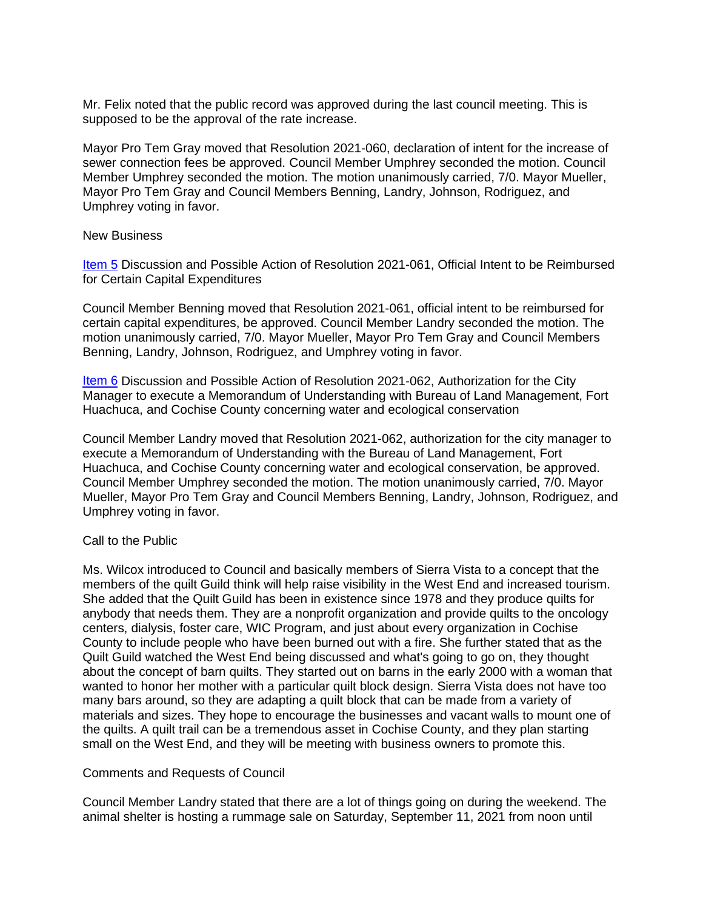Mr. Felix noted that the public record was approved during the last council meeting. This is supposed to be the approval of the rate increase.

Mayor Pro Tem Gray moved that Resolution 2021-060, declaration of intent for the increase of sewer connection fees be approved. Council Member Umphrey seconded the motion. Council Member Umphrey seconded the motion. The motion unanimously carried, 7/0. Mayor Mueller, Mayor Pro Tem Gray and Council Members Benning, Landry, Johnson, Rodriguez, and Umphrey voting in favor.

### New Business

[Item 5](http://docserve.sierravistaaz.gov/Home/City%20Council/City%20Council%20Meeting%20Agenda/2021%20Council%20Meeting/09%2009%2021/Item%205%20Res.%202021-061%20FY22%20Reimbursement.pdf) Discussion and Possible Action of Resolution 2021-061, Official Intent to be Reimbursed for Certain Capital Expenditures

Council Member Benning moved that Resolution 2021-061, official intent to be reimbursed for certain capital expenditures, be approved. Council Member Landry seconded the motion. The motion unanimously carried, 7/0. Mayor Mueller, Mayor Pro Tem Gray and Council Members Benning, Landry, Johnson, Rodriguez, and Umphrey voting in favor.

[Item 6](http://docserve.sierravistaaz.gov/Home/City%20Council/City%20Council%20Meeting%20Agenda/2021%20Council%20Meeting/09%2009%2021/Item%206%20Res.%202021-062%20MOU%20with%20Bureau%20of%20Land%20Management,%20Fort%20Huachuca,%20and%20Cochise%20County.pdf) Discussion and Possible Action of Resolution 2021-062, Authorization for the City Manager to execute a Memorandum of Understanding with Bureau of Land Management, Fort Huachuca, and Cochise County concerning water and ecological conservation

Council Member Landry moved that Resolution 2021-062, authorization for the city manager to execute a Memorandum of Understanding with the Bureau of Land Management, Fort Huachuca, and Cochise County concerning water and ecological conservation, be approved. Council Member Umphrey seconded the motion. The motion unanimously carried, 7/0. Mayor Mueller, Mayor Pro Tem Gray and Council Members Benning, Landry, Johnson, Rodriguez, and Umphrey voting in favor.

## Call to the Public

Ms. Wilcox introduced to Council and basically members of Sierra Vista to a concept that the members of the quilt Guild think will help raise visibility in the West End and increased tourism. She added that the Quilt Guild has been in existence since 1978 and they produce quilts for anybody that needs them. They are a nonprofit organization and provide quilts to the oncology centers, dialysis, foster care, WIC Program, and just about every organization in Cochise County to include people who have been burned out with a fire. She further stated that as the Quilt Guild watched the West End being discussed and what's going to go on, they thought about the concept of barn quilts. They started out on barns in the early 2000 with a woman that wanted to honor her mother with a particular quilt block design. Sierra Vista does not have too many bars around, so they are adapting a quilt block that can be made from a variety of materials and sizes. They hope to encourage the businesses and vacant walls to mount one of the quilts. A quilt trail can be a tremendous asset in Cochise County, and they plan starting small on the West End, and they will be meeting with business owners to promote this.

## Comments and Requests of Council

Council Member Landry stated that there are a lot of things going on during the weekend. The animal shelter is hosting a rummage sale on Saturday, September 11, 2021 from noon until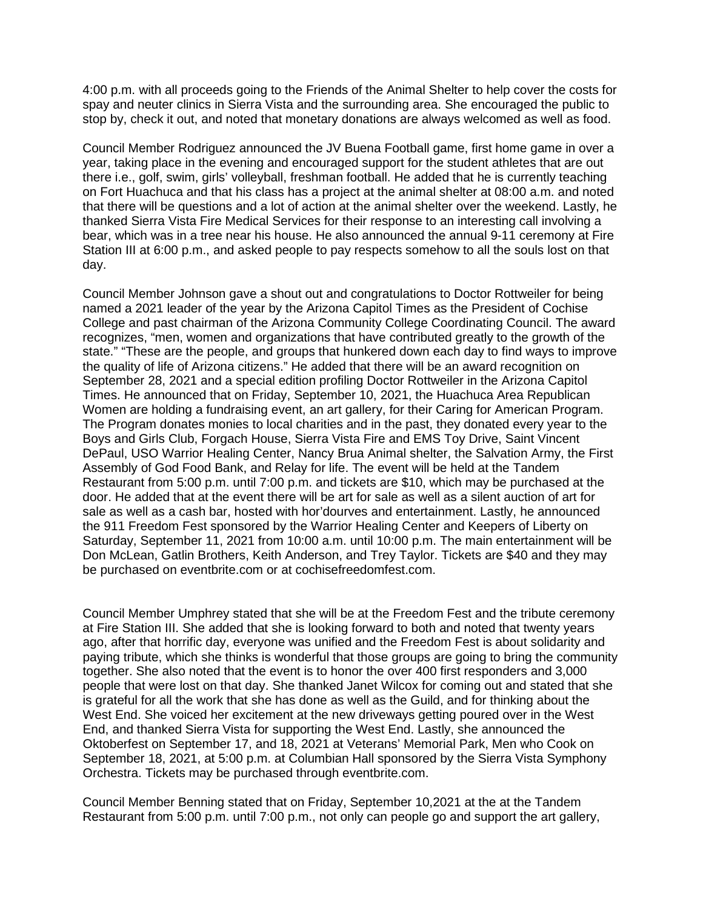4:00 p.m. with all proceeds going to the Friends of the Animal Shelter to help cover the costs for spay and neuter clinics in Sierra Vista and the surrounding area. She encouraged the public to stop by, check it out, and noted that monetary donations are always welcomed as well as food.

Council Member Rodriguez announced the JV Buena Football game, first home game in over a year, taking place in the evening and encouraged support for the student athletes that are out there i.e., golf, swim, girls' volleyball, freshman football. He added that he is currently teaching on Fort Huachuca and that his class has a project at the animal shelter at 08:00 a.m. and noted that there will be questions and a lot of action at the animal shelter over the weekend. Lastly, he thanked Sierra Vista Fire Medical Services for their response to an interesting call involving a bear, which was in a tree near his house. He also announced the annual 9-11 ceremony at Fire Station III at 6:00 p.m., and asked people to pay respects somehow to all the souls lost on that day.

Council Member Johnson gave a shout out and congratulations to Doctor Rottweiler for being named a 2021 leader of the year by the Arizona Capitol Times as the President of Cochise College and past chairman of the Arizona Community College Coordinating Council. The award recognizes, "men, women and organizations that have contributed greatly to the growth of the state." "These are the people, and groups that hunkered down each day to find ways to improve the quality of life of Arizona citizens." He added that there will be an award recognition on September 28, 2021 and a special edition profiling Doctor Rottweiler in the Arizona Capitol Times. He announced that on Friday, September 10, 2021, the Huachuca Area Republican Women are holding a fundraising event, an art gallery, for their Caring for American Program. The Program donates monies to local charities and in the past, they donated every year to the Boys and Girls Club, Forgach House, Sierra Vista Fire and EMS Toy Drive, Saint Vincent DePaul, USO Warrior Healing Center, Nancy Brua Animal shelter, the Salvation Army, the First Assembly of God Food Bank, and Relay for life. The event will be held at the Tandem Restaurant from 5:00 p.m. until 7:00 p.m. and tickets are \$10, which may be purchased at the door. He added that at the event there will be art for sale as well as a silent auction of art for sale as well as a cash bar, hosted with hor'dourves and entertainment. Lastly, he announced the 911 Freedom Fest sponsored by the Warrior Healing Center and Keepers of Liberty on Saturday, September 11, 2021 from 10:00 a.m. until 10:00 p.m. The main entertainment will be Don McLean, Gatlin Brothers, Keith Anderson, and Trey Taylor. Tickets are \$40 and they may be purchased on eventbrite.com or at cochisefreedomfest.com.

Council Member Umphrey stated that she will be at the Freedom Fest and the tribute ceremony at Fire Station III. She added that she is looking forward to both and noted that twenty years ago, after that horrific day, everyone was unified and the Freedom Fest is about solidarity and paying tribute, which she thinks is wonderful that those groups are going to bring the community together. She also noted that the event is to honor the over 400 first responders and 3,000 people that were lost on that day. She thanked Janet Wilcox for coming out and stated that she is grateful for all the work that she has done as well as the Guild, and for thinking about the West End. She voiced her excitement at the new driveways getting poured over in the West End, and thanked Sierra Vista for supporting the West End. Lastly, she announced the Oktoberfest on September 17, and 18, 2021 at Veterans' Memorial Park, Men who Cook on September 18, 2021, at 5:00 p.m. at Columbian Hall sponsored by the Sierra Vista Symphony Orchestra. Tickets may be purchased through eventbrite.com.

Council Member Benning stated that on Friday, September 10,2021 at the at the Tandem Restaurant from 5:00 p.m. until 7:00 p.m., not only can people go and support the art gallery,